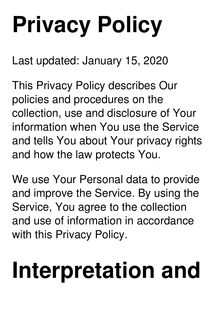# **Privacy Policy**

Last updated: January 15, 2020

This Privacy Policy describes Our policies and procedures on the collection, use and disclosure of Your information when You use the Service and tells You about Your privacy rights and how the law protects You.

We use Your Personal data to provide and improve the Service. By using the Service, You agree to the collection and use of information in accordance with this Privacy Policy.

## **Interpretation and**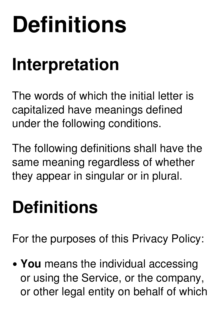## **Definitions**

#### **Interpretation**

The words of which the initial letter is capitalized have meanings defined under the following conditions.

The following definitions shall have the same meaning regardless of whether they appear in singular or in plural.

#### **Definitions**

For the purposes of this Privacy Policy:

**You** means the individual accessing or using the Service, or the company, or other legal entity on behalf of which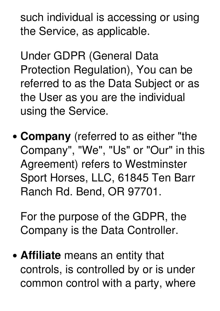such individual is accessing or using the Service, as applicable.

Under GDPR (General Data Protection Regulation), You can be referred to as the Data Subject or as the User as you are the individual using the Service.

**Company** (referred to as either "the Company" , "We" , "Us" or "Our" in this Agreement) refers to Westminster Sport Horses, LLC, 61845 Ten Barr Ranch Rd. Bend, OR 97701.

For the purpose of the GDPR, the Company is the Data Controller.

**Affiliate** means an entity that controls, is controlled by or is under common control with a party, where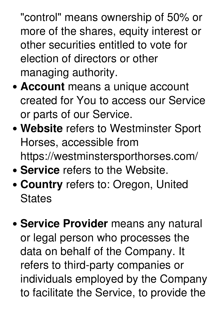"control" means ownership of 50% or more of the shares, equity interest or other securities entitled to vote for election of directors or other managing authority.

- **Account** means a unique account created for You to access our Service or parts of our Service.
- **Website** refers to Westminster Sport Horses, accessible from https://westminstersporthorses.com/
- **Service** refers to the Website.
- **Country** refers to: Oregon, United **States**
- **Service Provider** means any natural or legal person who processes the data on behalf of the Company. It refers to third-party companies or individuals employed by the Company to facilitate the Service, to provide the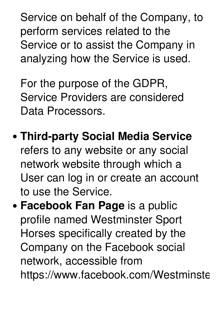Service on behalf of the Company, to perform services related to the Service or to assist the Company in analyzing how the Service is used.

For the purpose of the GDPR, Service Providers are considered Data Processors.

- **Third-party Social Media Service** refers to any website or any social network website through which a User can log in or create an account to use the Service.
- **Facebook Fan Page** is a public profile named Westminster Sport Horses specifically created by the Company on the Facebook social network, accessible from https://www.facebook.com/Westminste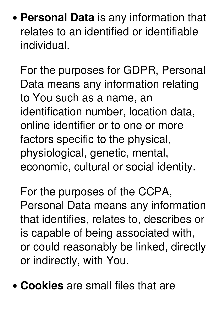**Personal Data** is any information that relates to an identified or identifiable individual.

For the purposes for GDPR, Personal Data means any information relating to You such as a name, an identification number, location data, online identifier or to one or more factors specific to the physical, physiological, genetic, mental, economic, cultural or social identity.

For the purposes of the CCPA, Personal Data means any information that identifies, relates to, describes or is capable of being associated with, or could reasonably be linked, directly or indirectly, with You.

**Cookies** are small files that are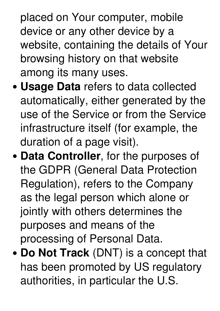placed on Your computer, mobile device or any other device by a website, containing the details of Your browsing history on that website among its many uses.

- **Usage Data** refers to data collected automatically, either generated by the use of the Service or from the Service infrastructure itself (for example, the duration of a page visit).
- **Data Controller**, for the purposes of the GDPR (General Data Protection Regulation), refers to the Company as the legal person which alone or jointly with others determines the purposes and means of the processing of Personal Data.
- **Do Not Track** (DNT) is a concept that has been promoted by US regulatory authorities, in particular the U.S.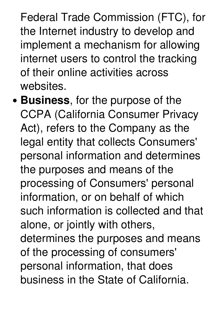Federal Trade Commission (FTC), for the Internet industry to develop and implement a mechanism for allowing internet users to control the tracking of their online activities across websites.

**Business**, for the purpose of the CCPA (California Consumer Privacy Act), refers to the Company as the legal entity that collects Consumers' personal information and determines the purposes and means of the processing of Consumers' personal information, or on behalf of which such information is collected and that alone, or jointly with others, determines the purposes and means of the processing of consumers' personal information, that does business in the State of California.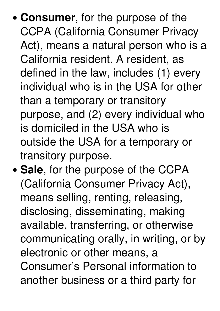- **Consumer**, for the purpose of the CCPA (California Consumer Privacy Act), means a natural person who is a California resident. A resident, as defined in the law, includes (1) every individual who is in the USA for other than a temporary or transitory purpose, and (2) every individual who is domiciled in the USA who is outside the USA for a temporary or transitory purpose.
- Sale, for the purpose of the CCPA (California Consumer Privacy Act), means selling, renting, releasing, disclosing, disseminating, making available, transferring, or otherwise communicating orally, in writing, or by electronic or other means, a Consumer's Personal information to another business or a third party for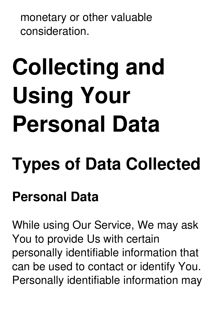monetary or other valuable consideration.

# **Collecting and Using Your Personal Data**

### **Types of Data Collected**

#### **Personal Data**

While using Our Service, We may ask You to provide Us with certain personally identifiable information that can be used to contact or identify You. Personally identifiable information may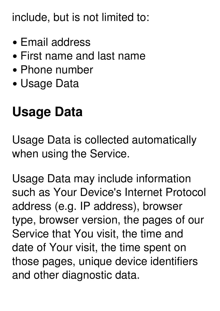include, but is not limited to:

- Email address
- First name and last name
- Phone number
- Usage Data

#### **Usage Data**

Usage Data is collected automatically when using the Service.

Usage Data may include information such as Your Device's Internet Protocol address (e.g. IP address), browser type, browser version, the pages of our Service that You visit, the time and date of Your visit, the time spent on those pages, unique device identifiers and other diagnostic data.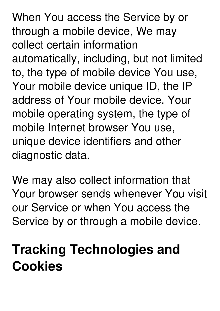When You access the Service by or through a mobile device, We may collect certain information automatically, including, but not limited to, the type of mobile device You use, Your mobile device unique ID, the IP address of Your mobile device, Your mobile operating system, the type of mobile Internet browser You use, unique device identifiers and other diagnostic data.

We may also collect information that Your browser sends whenever You visit our Service or when You access the Service by or through a mobile device.

#### **Tracking Technologies and Cookies**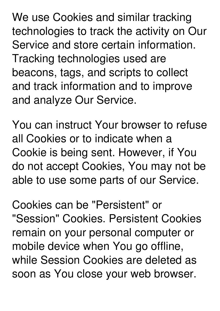We use Cookies and similar tracking technologies to track the activity on Our Service and store certain information. Tracking technologies used are beacons, tags, and scripts to collect and track information and to improve and analyze Our Service.

You can instruct Your browser to refuse all Cookies or to indicate when a Cookie is being sent. However, if You do not accept Cookies, You may not be able to use some parts of our Service.

Cookies can be "Persistent" or "Session" Cookies. Persistent Cookies remain on your personal computer or mobile device when You go offline, while Session Cookies are deleted as soon as You close your web browser.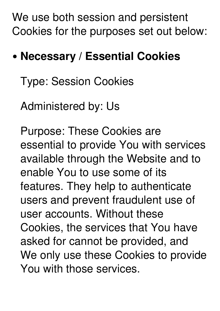We use both session and persistent Cookies for the purposes set out below:

#### **Necessary / Essential Cookies**

Type: Session Cookies

Administered by: Us

Purpose: These Cookies are essential to provide You with services available through the Website and to enable You to use some of its features. They help to authenticate users and prevent fraudulent use of user accounts. Without these Cookies, the services that You have asked for cannot be provided, and We only use these Cookies to provide You with those services.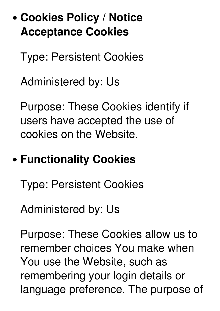#### **Cookies Policy / Notice Acceptance Cookies**

Type: Persistent Cookies

Administered by: Us

Purpose: These Cookies identify if users have accepted the use of cookies on the Website.

#### **Functionality Cookies**

Type: Persistent Cookies

Administered by: Us

Purpose: These Cookies allow us to remember choices You make when You use the Website, such as remembering your login details or language preference. The purpose of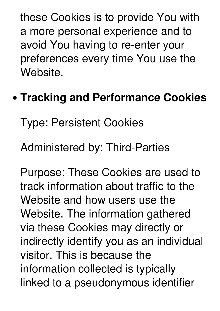these Cookies is to provide You with a more personal experience and to avoid You having to re-enter your preferences every time You use the Website.

#### **Tracking and Performance Cookies**

Type: Persistent Cookies

Administered by: Third-Parties

Purpose: These Cookies are used to track information about traffic to the Website and how users use the Website. The information gathered via these Cookies may directly or indirectly identify you as an individual visitor. This is because the information collected is typically linked to a pseudonymous identifier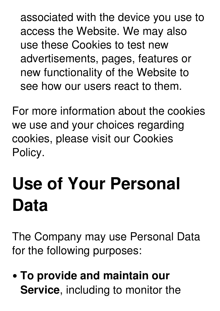associated with the device you use to access the Website. We may also use these Cookies to test new advertisements, pages, features or new functionality of the Website to see how our users react to them.

For more information about the cookies we use and your choices regarding cookies, please visit our Cookies Policy.

### **Use of Your Personal Data**

The Company may use Personal Data for the following purposes:

**To provide and maintain our Service**, including to monitor the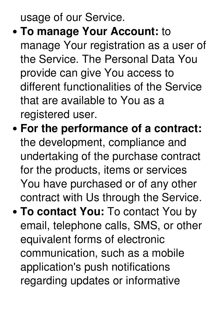usage of our Service.

- **To manage Your Account:** to manage Your registration as a user of the Service. The Personal Data You provide can give You access to different functionalities of the Service that are available to You as a registered user.
- **For the performance of a contract:** the development, compliance and undertaking of the purchase contract for the products, items or services You have purchased or of any other contract with Us through the Service.
- **To contact You:** To contact You by email, telephone calls, SMS, or other equivalent forms of electronic communication, such as a mobile application's push notifications regarding updates or informative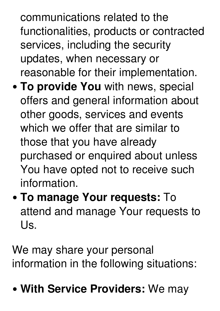communications related to the functionalities, products or contracted services, including the security updates, when necessary or reasonable for their implementation.

- **To provide You** with news, special offers and general information about other goods, services and events which we offer that are similar to those that you have already purchased or enquired about unless You have opted not to receive such information.
- **To manage Your requests:** To attend and manage Your requests to Us.

We may share your personal information in the following situations:

**With Service Providers:** We may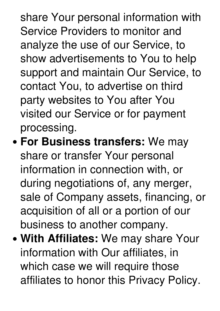share Your personal information with Service Providers to monitor and analyze the use of our Service, to show advertisements to You to help support and maintain Our Service, to contact You, to advertise on third party websites to You after You visited our Service or for payment processing.

- **For Business transfers:** We may share or transfer Your personal information in connection with, or during negotiations of, any merger, sale of Company assets, financing, or acquisition of all or a portion of our business to another company.
- **With Affiliates:** We may share Your information with Our affiliates, in which case we will require those affiliates to honor this Privacy Policy.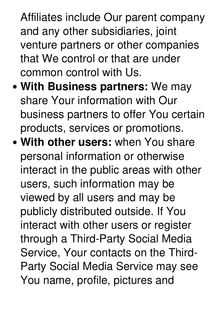Affiliates include Our parent company and any other subsidiaries, joint venture partners or other companies that We control or that are under common control with Us.

- **With Business partners:** We may share Your information with Our business partners to offer You certain products, services or promotions.
- **With other users:** when You share personal information or otherwise interact in the public areas with other users, such information may be viewed by all users and may be publicly distributed outside. If You interact with other users or register through a Third-Party Social Media Service, Your contacts on the Third- Party Social Media Service may see You name, profile, pictures and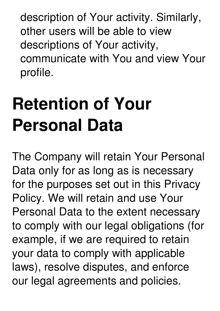description of Your activity. Similarly, other users will be able to view descriptions of Your activity, communicate with You and view Your profile.

### **Retention of Your Personal Data**

The Company will retain Your Personal Data only for as long as is necessary for the purposes set out in this Privacy Policy. We will retain and use Your Personal Data to the extent necessary to comply with our legal obligations (for example, if we are required to retain your data to comply with applicable laws), resolve disputes, and enforce our legal agreements and policies.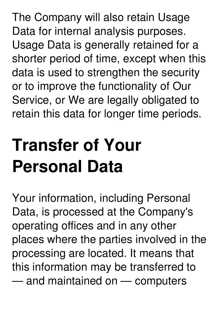The Company will also retain Usage Data for internal analysis purposes. Usage Data is generally retained for a shorter period of time, except when this data is used to strengthen the security or to improve the functionality of Our Service, or We are legally obligated to retain this data for longer time periods.

**Transfer of Your**

**Personal Data**

Your information, including Personal Data, is processed at the Company's operating offices and in any other places where the parties involved in the processing are located. It means that this information may be transferred to — and maintained on — computers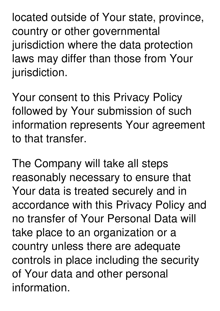located outside of Your state, province, country or other governmental jurisdiction where the data protection laws may differ than those from Your jurisdiction.

Your consent to this Privacy Policy followed by Your submission of such information represents Your agreement to that transfer.

The Company will take all steps reasonably necessary to ensure that Your data is treated securely and in accordance with this Privacy Policy and no transfer of Your Personal Data will take place to an organization or a country unless there are adequate controls in place including the security of Your data and other personal information.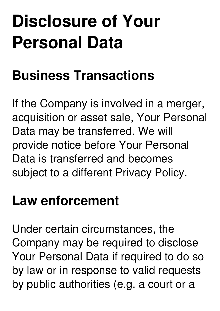### **Disclosure of Your Personal Data**

#### **Business Transactions**

If the Company is involved in a merger, acquisition or asset sale, Your Personal Data may be transferred. We will provide notice before Your Personal Data is transferred and becomes subject to a different Privacy Policy.

#### **Law enforcement**

Under certain circumstances, the Company may be required to disclose Your Personal Data if required to do so by law or in response to valid requests by public authorities (e.g. a court or a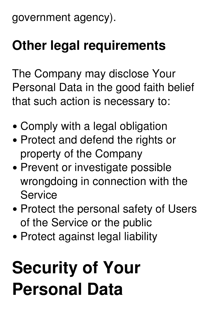government agency).

#### **Other legal requirements**

The Company may disclose Your Personal Data in the good faith belief that such action is necessary to:

- Comply with a legal obligation
- Protect and defend the rights or property of the Company
- Prevent or investigate possible wrongdoing in connection with the **Service**
- Protect the personal safety of Users of the Service or the public
- Protect against legal liability

### **Security of Your Personal Data**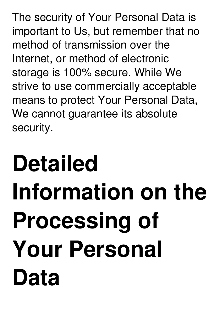The security of Your Personal Data is important to Us, but remember that no method of transmission over the Internet, or method of electronic storage is 100% secure. While We strive to use commercially acceptable means to protect Your Personal Data, We cannot guarantee its absolute security.

## **Detailed Information on the Processing of Your Personal Data**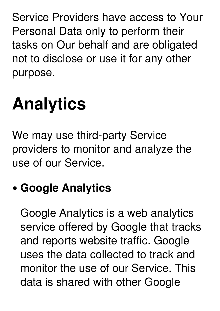Service Providers have access to Your Personal Data only to perform their tasks on Our behalf and are obligated not to disclose or use it for any other purpose.

### **Analytics**

We may use third-party Service providers to monitor and analyze the use of our Service.

#### **Google Analytics**

Google Analytics is a web analytics service offered by Google that tracks and reports website traffic. Google uses the data collected to track and monitor the use of our Service. This data is shared with other Google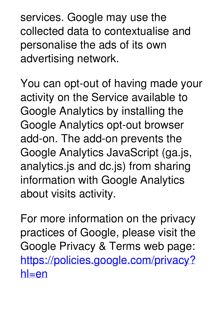services. Google may use the collected data to contextualise and personalise the ads of its own advertising network.

You can opt-out of having made your activity on the Service available to Google Analytics by installing the Google Analytics opt-out browser add-on. The add-on prevents the Google Analytics JavaScript (ga.js, analytics.js and dc.js) from sharing information with Google Analytics about visits activity.

For more information on the privacy practices of Google, please visit the Google Privacy & Terms web page: [https://policies.google.com/privacy?](https://policies.google.com/privacy?hl=en) hl=en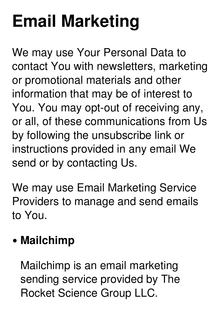### **Email Marketing**

We may use Your Personal Data to contact You with newsletters, marketing or promotional materials and other information that may be of interest to You. You may opt-out of receiving any, or all, of these communications from Us by following the unsubscribe link or instructions provided in any email We send or by contacting Us.

We may use Email Marketing Service Providers to manage and send emails to You.

#### **Mailchimp**

Mailchimp is an email marketing sending service provided by The Rocket Science Group LLC.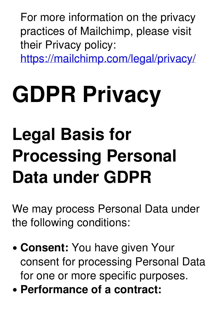For more information on the privacy practices of Mailchimp, please visit their Privacy policy:

<https://mailchimp.com/legal/privacy/>

## **GDPR Privacy**

### **Legal Basis for Processing Personal Data under GDPR**

We may process Personal Data under the following conditions:

- **Consent:** You have given Your consent for processing Personal Data for one or more specific purposes.
- **Performance of a contract:**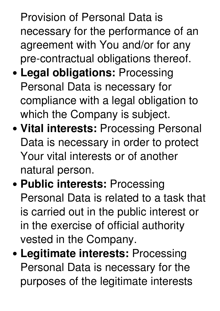Provision of Personal Data is necessary for the performance of an agreement with You and/or for any pre-contractual obligations thereof.

- **Legal obligations:** Processing Personal Data is necessary for compliance with a legal obligation to which the Company is subject.
- **Vital interests:** Processing Personal Data is necessary in order to protect Your vital interests or of another natural person.
- **Public interests:** Processing Personal Data is related to a task that is carried out in the public interest or in the exercise of official authority vested in the Company.
- **Legitimate interests:** Processing Personal Data is necessary for the purposes of the legitimate interests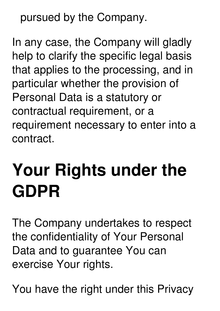pursued by the Company.

In any case, the Company will gladly help to clarify the specific legal basis that applies to the processing, and in particular whether the provision of Personal Data is a statutory or contractual requirement, or a requirement necessary to enter into a contract.

### **Your Rights under the GDPR**

The Company undertakes to respect the confidentiality of Your Personal Data and to guarantee You can exercise Your rights.

You have the right under this Privacy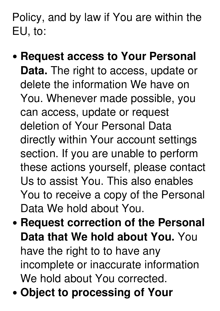Policy, and by law if You are within the EU, to:

- **Request access to Your Personal Data.** The right to access, update or delete the information We have on You. Whenever made possible, you can access, update or request deletion of Your Personal Data directly within Your account settings section. If you are unable to perform these actions yourself, please contact Us to assist You. This also enables You to receive a copy of the Personal Data We hold about You.
- **Request correction of the Personal Data that We hold about You.** You have the right to to have any incomplete or inaccurate information We hold about You corrected.
- **Object to processing of Your**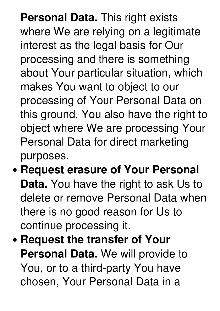**Personal Data.** This right exists where We are relying on a legitimate interest as the legal basis for Our processing and there is something about Your particular situation, which makes You want to object to our processing of Your Personal Data on this ground. You also have the right to object where We are processing Your Personal Data for direct marketing purposes.

- **Request erasure of Your Personal Data.** You have the right to ask Us to delete or remove Personal Data when there is no good reason for Us to continue processing it.
- **Request the transfer of Your Personal Data.** We will provide to You, or to a third-party You have chosen, Your Personal Data in a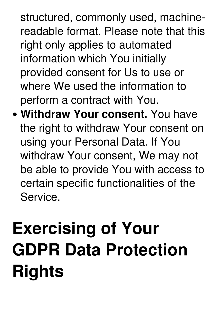structured, commonly used, machinereadable format. Please note that this right only applies to automated information which You initially provided consent for Us to use or where We used the information to perform a contract with You.

**Withdraw Your consent.** You have the right to withdraw Your consent on using your Personal Data. If You withdraw Your consent, We may not be able to provide You with access to certain specific functionalities of the Service.

### **Exercising of Your GDPR Data Protection Rights**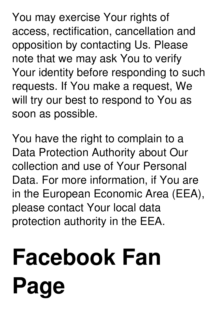You may exercise Your rights of access, rectification, cancellation and opposition by contacting Us. Please note that we may ask You to verify Your identity before responding to such requests. If You make a request, We will try our best to respond to You as soon as possible.

You have the right to complain to a Data Protection Authority about Our collection and use of Your Personal Data. For more information, if You are in the European Economic Area (EEA), please contact Your local data protection authority in the EEA.

# **Facebook Fan Page**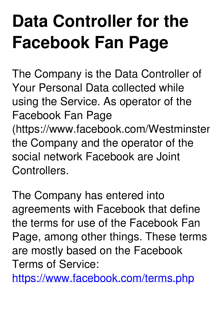### **Data Controller for the Facebook Fan Page**

The Company is the Data Controller of Your Personal Data collected while using the Service. As operator of the Facebook Fan Page (https://www.facebook.com/Westminster the Company and the operator of the social network Facebook are Joint Controllers.

The Company has entered into agreements with Facebook that define the terms for use of the Facebook Fan Page, among other things. These terms are mostly based on the Facebook Terms of Service:

<https://www.facebook.com/terms.php>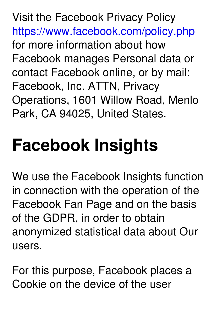Visit the Facebook Privacy Policy <https://www.facebook.com/policy.php> for more information about how Facebook manages Personal data or contact Facebook online, or by mail: Facebook, Inc. ATTN, Privacy Operations, 1601 Willow Road, Menlo Park, CA 94025, United States.

### **Facebook Insights**

We use the Facebook Insights function in connection with the operation of the Facebook Fan Page and on the basis of the GDPR, in order to obtain anonymized statistical data about Our users.

For this purpose, Facebook places a Cookie on the device of the user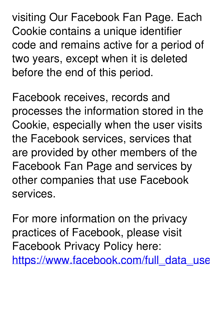visiting Our Facebook Fan Page. Each Cookie contains a unique identifier code and remains active for a period of two years, except when it is deleted before the end of this period.

Facebook receives, records and processes the information stored in the Cookie, especially when the user visits the Facebook services, services that are provided by other members of the Facebook Fan Page and services by other companies that use Facebook services.

For more information on the privacy practices of Facebook, please visit Facebook Privacy Policy here: https://www.facebook.com/full\_data\_use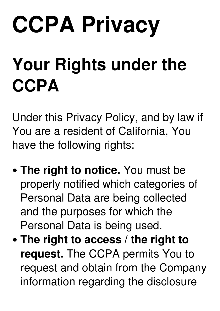## **CCPA Privacy**

### **Your Rights under the CCPA**

Under this Privacy Policy, and by law if You are a resident of California, You have the following rights:

- **The right to notice.** You must be properly notified which categories of Personal Data are being collected and the purposes for which the Personal Data is being used.
- **The right to access / the right to request.** The CCPA permits You to request and obtain from the Company information regarding the disclosure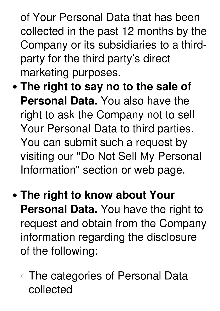of Your Personal Data that has been collected in the past 12 months by the Company or its subsidiaries to a third party for the third party's direct marketing purposes.

- **The right to say no to the sale of Personal Data.** You also have the right to ask the Company not to sell Your Personal Data to third parties. You can submit such a request by visiting our "Do Not Sell My Personal Information" section or web page.
- **The right to know about Your Personal Data.** You have the right to request and obtain from the Company information regarding the disclosure of the following:
	- The categories of Personal Data collected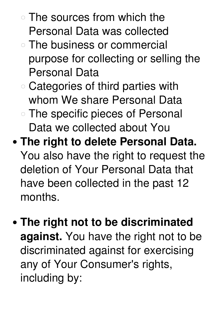- The sources from which the Personal Data was collected
- The business or commercial purpose for collecting or selling the Personal Data
- Categories of third parties with whom We share Personal Data
- The specific pieces of Personal Data we collected about You
- **The right to delete Personal Data.** You also have the right to request the deletion of Your Personal Data that have been collected in the past 12 months.
- **The right not to be discriminated against.** You have the right not to be discriminated against for exercising any of Your Consumer's rights, including by: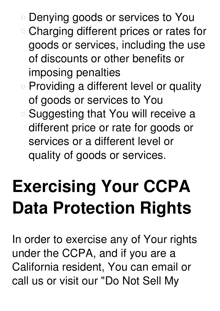- Denying goods or services to You
- Charging different prices or rates for goods or services, including the use of discounts or other benefits or imposing penalties
- Providing a different level or quality of goods or services to You
- Suggesting that You will receive a different price or rate for goods or services or a different level or quality of goods or services.

### **Exercising Your CCPA Data Protection Rights**

In order to exercise any of Your rights under the CCPA, and if you are a California resident, You can email or call us or visit our "Do Not Sell My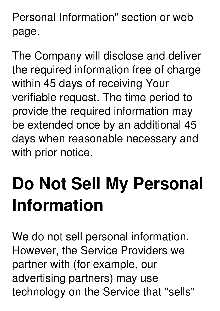Personal Information" section or web page.

The Company will disclose and deliver the required information free of charge within 45 days of receiving Your verifiable request. The time period to provide the required information may be extended once by an additional 45 days when reasonable necessary and with prior notice.

### **Do Not Sell My Personal Information**

We do not sell personal information. However, the Service Providers we partner with (for example, our advertising partners) may use technology on the Service that "sells"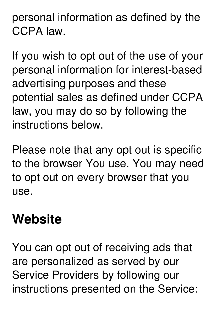personal information as defined by the CCPA law.

If you wish to opt out of the use of your personal information for interest-based advertising purposes and these potential sales as defined under CCPA law, you may do so by following the instructions below.

Please note that any opt out is specific to the browser You use. You may need to opt out on every browser that you use.

#### **Website**

You can opt out of receiving ads that are personalized as served by our Service Providers by following our instructions presented on the Service: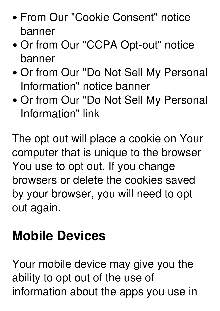- From Our "Cookie Consent" notice banner
- Or from Our "CCPA Opt-out" notice banner
- Or from Our "Do Not Sell My Personal Information" notice banner
- Or from Our "Do Not Sell My Personal Information" link

The opt out will place a cookie on Your computer that is unique to the browser You use to opt out. If you change browsers or delete the cookies saved by your browser, you will need to opt out again.

#### **Mobile Devices**

Your mobile device may give you the ability to opt out of the use of information about the apps you use in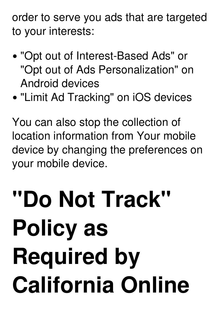order to serve you ads that are targeted to your interests:

- "Opt out of Interest-Based Ads" or "Opt out of Ads Personalization" on Android devices
- "Limit Ad Tracking" on iOS devices

You can also stop the collection of location information from Your mobile device by changing the preferences on your mobile device.

## **"Do Not Track" Policy as Required by California Online**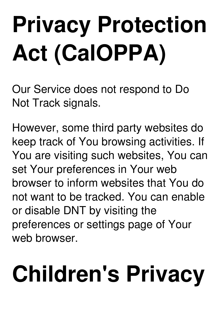# **Privacy Protection Act (CalOPPA)**

Our Service does not respond to Do Not Track signals.

However, some third party websites do keep track of You browsing activities. If You are visiting such websites, You can set Your preferences in Your web browser to inform websites that You do not want to be tracked. You can enable or disable DNT by visiting the preferences or settings page of Your web browser.

# **Children's Privacy**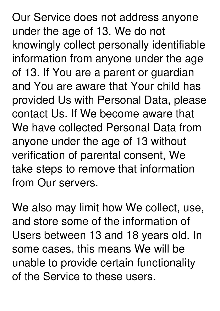Our Service does not address anyone under the age of 13. We do not knowingly collect personally identifiable information from anyone under the age of 13. If You are a parent or guardian and You are aware that Your child has provided Us with Personal Data, please contact Us. If We become aware that We have collected Personal Data from anyone under the age of 13 without verification of parental consent, We take steps to remove that information from Our servers.

We also may limit how We collect, use, and store some of the information of Users between 13 and 18 years old. In some cases, this means We will be unable to provide certain functionality of the Service to these users.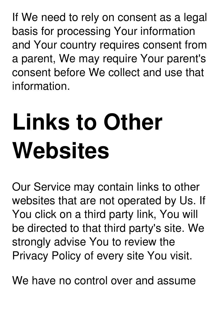If We need to rely on consent as a legal basis for processing Your information and Your country requires consent from a parent, We may require Your parent's consent before We collect and use that information.

## **Links to Other Websites**

Our Service may contain links to other websites that are not operated by Us. If You click on a third party link, You will be directed to that third party's site. We strongly advise You to review the Privacy Policy of every site You visit.

We have no control over and assume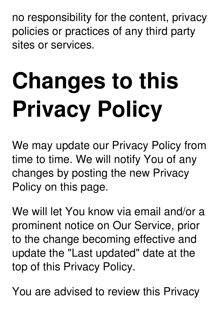no responsibility for the content, privacy policies or practices of any third party sites or services.

# **Changes to this Privacy Policy**

We may update our Privacy Policy from time to time. We will notify You of any changes by posting the new Privacy Policy on this page.

We will let You know via email and/or a prominent notice on Our Service, prior to the change becoming effective and update the "Last updated" date at the top of this Privacy Policy.

You are advised to review this Privacy